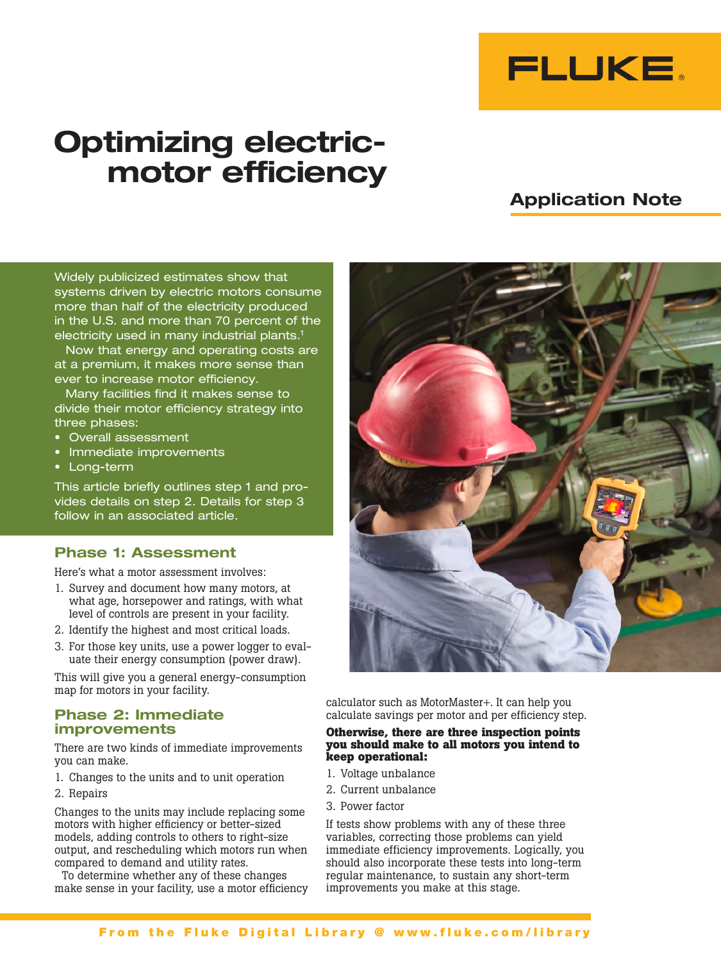

# **Optimizing electricmotor efficiency**

# **Application Note**

Widely publicized estimates show that systems driven by electric motors consume more than half of the electricity produced in the U.S. and more than 70 percent of the electricity used in many industrial plants.<sup>1</sup>

Now that energy and operating costs are at a premium, it makes more sense than ever to increase motor efficiency.

Many facilities find it makes sense to divide their motor efficiency strategy into three phases:

- • Overall assessment
- • Immediate improvements
- • Long-term

This article briefly outlines step 1 and provides details on step 2. Details for step 3 follow in an associated article.

# **Phase 1: Assessment**

Here's what a motor assessment involves:

- 1. Survey and document how many motors, at what age, horsepower and ratings, with what level of controls are present in your facility.
- 2. Identify the highest and most critical loads.
- 3. For those key units, use a power logger to evaluate their energy consumption (power draw).

This will give you a general energy-consumption map for motors in your facility.

# **Phase 2: Immediate improvements**

There are two kinds of immediate improvements you can make.

- 1. Changes to the units and to unit operation
- 2. Repairs

Changes to the units may include replacing some motors with higher efficiency or better-sized models, adding controls to others to right-size output, and rescheduling which motors run when compared to demand and utility rates.

To determine whether any of these changes make sense in your facility, use a motor efficiency



calculator such as MotorMaster+. It can help you calculate savings per motor and per efficiency step.

# **Otherwise, there are three inspection points you should make to all motors you intend to keep operational:**

- 1. Voltage unbalance
- 2. Current unbalance
- 3. Power factor

If tests show problems with any of these three variables, correcting those problems can yield immediate efficiency improvements. Logically, you should also incorporate these tests into long-term regular maintenance, to sustain any short-term improvements you make at this stage.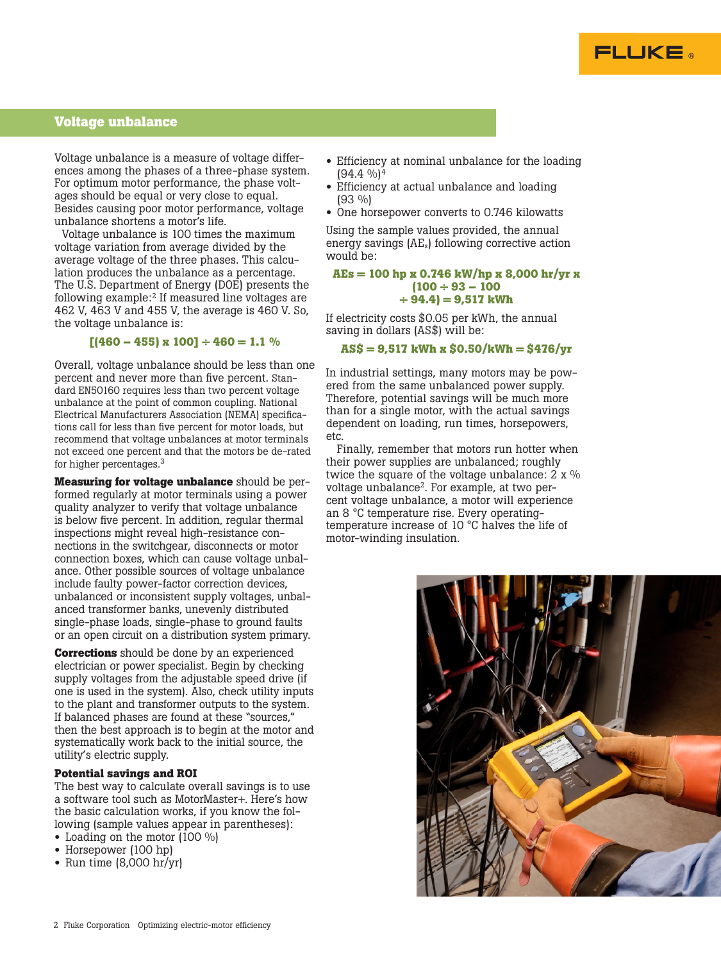

# **Voltage unbalance**

Voltage unbalance is a measure of voltage differences among the phases of a three-phase system. For optimum motor performance, the phase voltages should be equal or very close to equal. Besides causing poor motor performance, voltage unbalance shortens a motor's life.

Voltage unbalance is 100 times the maximum voltage variation from average divided by the average voltage of the three phases. This calculation produces the unbalance as a percentage. The U.S. Department of Energy (DOE) presents the following example:2 If measured line voltages are 462 V, 463 V and 455 V, the average is 460 V. So, the voltage unbalance is:

# $[(460 - 455) \times 100] \div 460 = 1.1 \%$

Overall, voltage unbalance should be less than one percent and never more than five percent. Standard EN50160 requires less than two percent voltage unbalance at the point of common coupling. National Electrical Manufacturers Association (NEMA) specifications call for less than five percent for motor loads, but recommend that voltage unbalances at motor terminals not exceed one percent and that the motors be de-rated for higher percentages.<sup>3</sup>

**Measuring for voltage unbalance** should be performed regularly at motor terminals using a power quality analyzer to verify that voltage unbalance is below five percent. In addition, regular thermal inspections might reveal high-resistance connections in the switchgear, disconnects or motor connection boxes, which can cause voltage unbalance. Other possible sources of voltage unbalance include faulty power-factor correction devices, unbalanced or inconsistent supply voltages, unbalanced transformer banks, unevenly distributed single-phase loads, single-phase to ground faults or an open circuit on a distribution system primary.

**Corrections** should be done by an experienced electrician or power specialist. Begin by checking supply voltages from the adjustable speed drive (if one is used in the system). Also, check utility inputs to the plant and transformer outputs to the system. If balanced phases are found at these "sources," then the best approach is to begin at the motor and systematically work back to the initial source, the utility's electric supply.

## **Potential savings and ROI**

The best way to calculate overall savings is to use a software tool such as MotorMaster+. Here's how the basic calculation works, if you know the following (sample values appear in parentheses):

- Loading on the motor (100 %)
- Horsepower (100 hp)
- Run time (8,000 hr/yr)
- Efficiency at nominal unbalance for the loading  $(94.4 \frac{9}{0})^4$
- Efficiency at actual unbalance and loading (93 %)
- One horsepower converts to 0.746 kilowatts

Using the sample values provided, the annual energy savings (AEs) following corrective action would be:

# **AEs = 100 hp x 0.746 kW/hp x 8,000 hr/yr x (100 ÷ 93 – 100 ÷ 94.4) = 9,517 kWh**

If electricity costs \$0.05 per kWh, the annual saving in dollars (AS\$) will be:

# **AS\$ = 9,517 kWh x \$0.50/kWh = \$476/yr**

In industrial settings, many motors may be powered from the same unbalanced power supply. Therefore, potential savings will be much more than for a single motor, with the actual savings dependent on loading, run times, horsepowers, etc.

Finally, remember that motors run hotter when their power supplies are unbalanced; roughly twice the square of the voltage unbalance:  $2 \times \%$ voltage unbalance<sup>2</sup>. For example, at two percent voltage unbalance, a motor will experience an 8 °C temperature rise. Every operatingtemperature increase of 10 °C halves the life of motor-winding insulation.

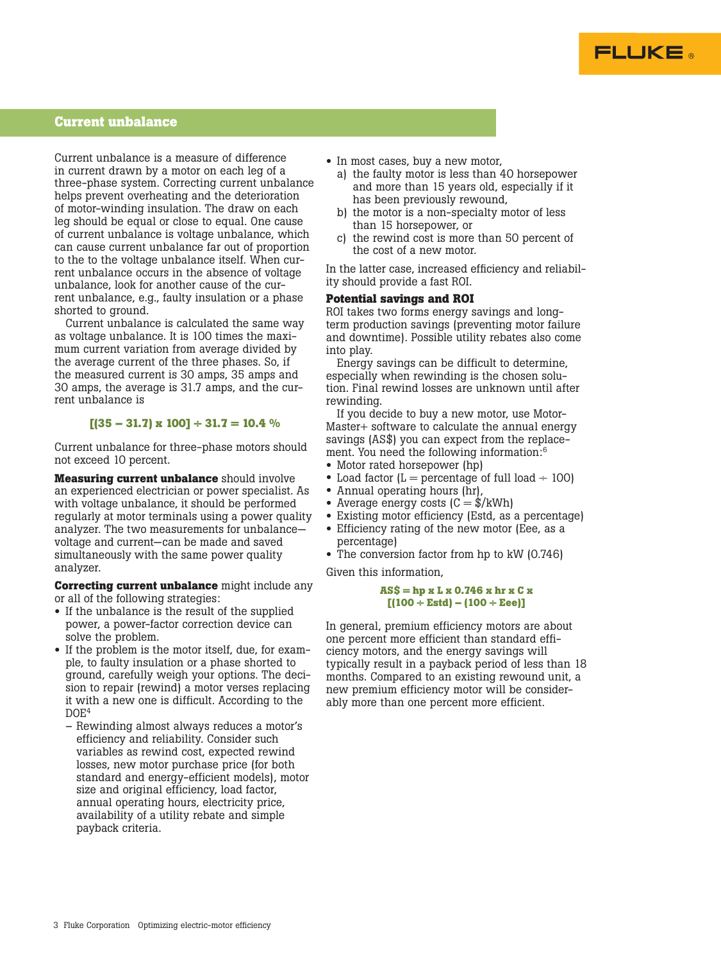

# **Current unbalance**

Current unbalance is a measure of difference in current drawn by a motor on each leg of a three-phase system. Correcting current unbalance helps prevent overheating and the deterioration of motor-winding insulation. The draw on each leg should be equal or close to equal. One cause of current unbalance is voltage unbalance, which can cause current unbalance far out of proportion to the to the voltage unbalance itself. When current unbalance occurs in the absence of voltage unbalance, look for another cause of the current unbalance, e.g., faulty insulation or a phase shorted to ground.

Current unbalance is calculated the same way as voltage unbalance. It is 100 times the maximum current variation from average divided by the average current of the three phases. So, if the measured current is 30 amps, 35 amps and 30 amps, the average is 31.7 amps, and the current unbalance is

#### **[(35 – 31.7) x 100] ÷ 31.7 = 10.4 %**

Current unbalance for three-phase motors should not exceed 10 percent.

**Measuring current unbalance** should involve an experienced electrician or power specialist. As with voltage unbalance, it should be performed regularly at motor terminals using a power quality analyzer. The two measurements for unbalance voltage and current—can be made and saved simultaneously with the same power quality analyzer.

**Correcting current unbalance** might include any or all of the following strategies:

- If the unbalance is the result of the supplied power, a power-factor correction device can solve the problem.
- If the problem is the motor itself, due, for example, to faulty insulation or a phase shorted to ground, carefully weigh your options. The decision to repair (rewind) a motor verses replacing it with a new one is difficult. According to the  $DOE<sup>4</sup>$ 
	- Rewinding almost always reduces a motor's efficiency and reliability. Consider such variables as rewind cost, expected rewind losses, new motor purchase price (for both standard and energy-efficient models), motor size and original efficiency, load factor, annual operating hours, electricity price, availability of a utility rebate and simple payback criteria.
- In most cases, buy a new motor,
	- a) the faulty motor is less than 40 horsepower and more than 15 years old, especially if it has been previously rewound,
	- b) the motor is a non-specialty motor of less than 15 horsepower, or
	- c) the rewind cost is more than 50 percent of the cost of a new motor.

In the latter case, increased efficiency and reliability should provide a fast ROI.

# **Potential savings and ROI**

ROI takes two forms energy savings and longterm production savings (preventing motor failure and downtime). Possible utility rebates also come into play.

Energy savings can be difficult to determine, especially when rewinding is the chosen solution. Final rewind losses are unknown until after rewinding.

If you decide to buy a new motor, use Motor-Master+ software to calculate the annual energy savings (AS\$) you can expect from the replacement. You need the following information:6

- Motor rated horsepower (hp)
- Load factor  $(L =$  percentage of full load  $\div$  100)
- Annual operating hours (hr),
- Average energy costs  $(C = \frac{4}{\pi})kWh$
- Existing motor efficiency (Estd, as a percentage)
- Efficiency rating of the new motor (Eee, as a percentage)
- The conversion factor from hp to kW (0.746)

Given this information,

#### **AS\$ = hp x L x 0.746 x hr x C x [(100 ÷ Estd) – (100 ÷ Eee)]**

In general, premium efficiency motors are about one percent more efficient than standard efficiency motors, and the energy savings will typically result in a payback period of less than 18 months. Compared to an existing rewound unit, a new premium efficiency motor will be considerably more than one percent more efficient.